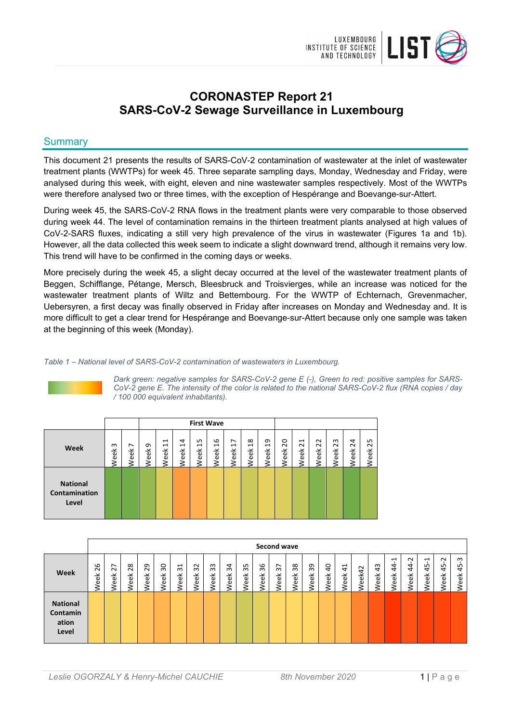

# **CORONASTEP Report 21 SARS-CoV-2 Sewage Surveillance in Luxembourg**

# **Summary**

This document 21 presents the results of SARS-CoV-2 contamination of wastewater at the inlet of wastewater treatment plants (WWTPs) for week 45. Three separate sampling days, Monday, Wednesday and Friday, were analysed during this week, with eight, eleven and nine wastewater samples respectively. Most of the WWTPs were therefore analysed two or three times, with the exception of Hespérange and Boevange-sur-Attert.

During week 45, the SARS-CoV-2 RNA flows in the treatment plants were very comparable to those observed during week 44. The level of contamination remains in the thirteen treatment plants analysed at high values of CoV-2-SARS fluxes, indicating a still very high prevalence of the virus in wastewater (Figures 1a and 1b). However, all the data collected this week seem to indicate a slight downward trend, although it remains very low. This trend will have to be confirmed in the coming days or weeks.

More precisely during the week 45, a slight decay occurred at the level of the wastewater treatment plants of Beggen, Schifflange, Pétange, Mersch, Bleesbruck and Troisvierges, while an increase was noticed for the wastewater treatment plants of Wiltz and Bettembourg. For the WWTP of Echternach, Grevenmacher, Uebersyren, a first decay was finally observed in Friday after increases on Monday and Wednesday and. It is more difficult to get a clear trend for Hespérange and Boevange-sur-Attert because only one sample was taken at the beginning of this week (Monday).

# *Table 1 – National level of SARS-CoV-2 contamination of wastewaters in Luxembourg.*



*Dark green: negative samples for SARS-CoV-2 gene E (-), Green to red: positive samples for SARS-CoV-2 gene E. The intensity of the color is related to the national SARS-CoV-2 flux (RNA copies / day / 100 000 equivalent inhabitants).*

|                                           |           |          |          |                                                                |                             | <b>First Wave</b>                  |                       |                                          |                                                             |                                    |                              |                                                |                         |                    |                             |                     |
|-------------------------------------------|-----------|----------|----------|----------------------------------------------------------------|-----------------------------|------------------------------------|-----------------------|------------------------------------------|-------------------------------------------------------------|------------------------------------|------------------------------|------------------------------------------------|-------------------------|--------------------|-----------------------------|---------------------|
| Week                                      | ന<br>Veek | ∼<br>eek | ᡡ<br>eek | $\mathbf{\mathbf{\mathsf{H}}}$<br>$\mathbf{\mathbf{r}}$<br>eek | 4<br>$\overline{ }$<br>Week | ഗ<br>$\mathbf{\mathbf{r}}$<br>Week | $\frac{6}{2}$<br>Week | $\overline{ }$<br>$\overline{ }$<br>Week | $\infty$<br>$\mathbf{\mathbf{\mathbf{\mathsf{H}}}}$<br>Week | თ<br>$\mathbf{\mathbf{r}}$<br>Week | $\circ$<br>$\bar{N}$<br>Week | $\overline{\phantom{0}}$<br>$\sim$<br>eek<br>ξ | $\sim$<br>$\sim$<br>eek | m<br>$\sim$<br>eek | 4<br>$\tilde{\sim}$<br>Week | ഗ<br>$\sim$<br>Week |
| <b>National</b><br>Contamination<br>Level |           |          |          |                                                                |                             |                                    |                       |                                          |                                                             |                                    |                              |                                                |                         |                    |                             |                     |

|                                               |                    |                   |           |                   |                   |                         |                          |                            |            |            |            | Second wave                             |                   |            |                        |                               |                 |                  |                                |                                     |                                     |                      |                 |
|-----------------------------------------------|--------------------|-------------------|-----------|-------------------|-------------------|-------------------------|--------------------------|----------------------------|------------|------------|------------|-----------------------------------------|-------------------|------------|------------------------|-------------------------------|-----------------|------------------|--------------------------------|-------------------------------------|-------------------------------------|----------------------|-----------------|
| Week                                          | ဖ<br>$\sim$<br>eek | 27<br><b>Veek</b> | 28<br>eek | 29<br><b>Veek</b> | SO<br><b>Veek</b> | $\overline{31}$<br>Week | $\sim$<br>$\sim$<br>Veek | m<br>$\sim$<br><b>Neek</b> | 34<br>Week | 35<br>Week | 36<br>Week | $\overline{ }$<br>$\sim$<br><b>Neek</b> | 38<br><b>Veek</b> | 39<br>Week | $\overline{a}$<br>Week | $\overline{4}$<br><b>Veek</b> | $\sim$<br>Neek4 | ಞ<br><b>Veek</b> | ⊣<br>$\ddot{a}$<br><b>Veek</b> | $\sim$<br>$\ddot{4}$<br><b>Neek</b> | $\overline{ }$<br>45<br><b>Neek</b> | $\sim$<br>45<br>Week | ന<br>45<br>Week |
| <b>National</b><br>Contamin<br>ation<br>Level |                    |                   |           |                   |                   |                         |                          |                            |            |            |            |                                         |                   |            |                        |                               |                 |                  |                                |                                     |                                     |                      |                 |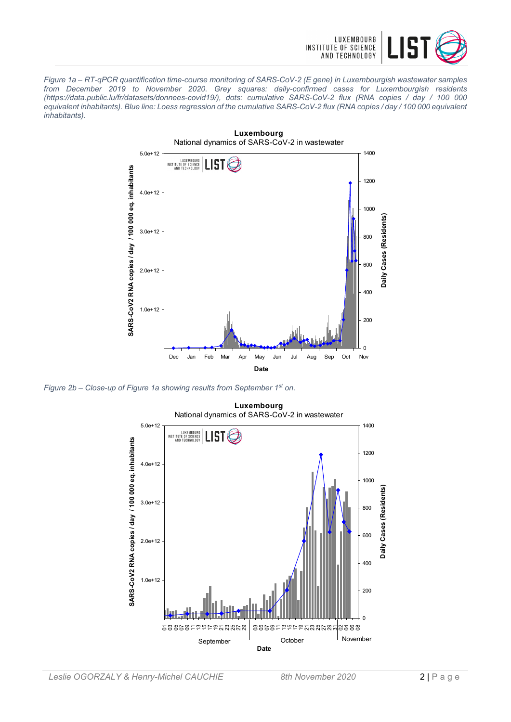

*Figure 1a – RT-qPCR quantification time-course monitoring of SARS-CoV-2 (E gene) in Luxembourgish wastewater samples from December 2019 to November 2020. Grey squares: daily-confirmed cases for Luxembourgish residents (https://data.public.lu/fr/datasets/donnees-covid19/), dots: cumulative SARS-CoV-2 flux (RNA copies / day / 100 000 equivalent inhabitants). Blue line: Loess regression of the cumulative SARS-CoV-2 flux (RNA copies / day / 100 000 equivalent inhabitants).*



*Figure 2b – Close-up of Figure 1a showing results from September 1st on.*

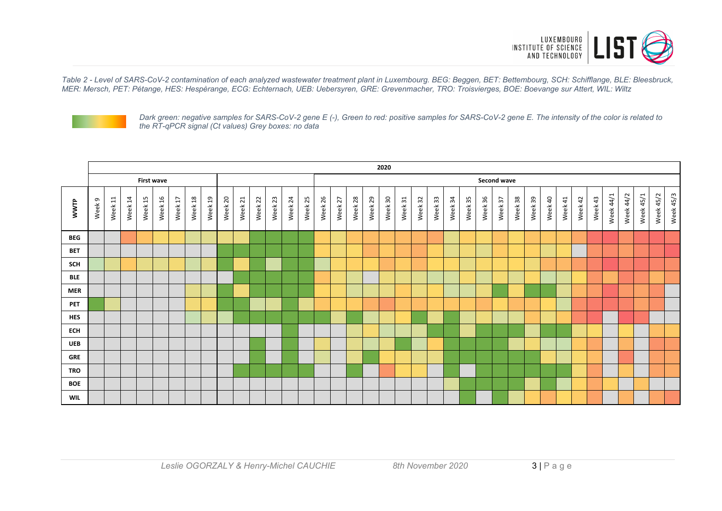

*Table 2 - Level of SARS-CoV-2 contamination of each analyzed wastewater treatment plant in Luxembourg. BEG: Beggen, BET: Bettembourg, SCH: Schifflange, BLE: Bleesbruck, MER: Mersch, PET: Pétange, HES: Hespèrange, ECG: Echternach, UEB: Uebersyren, GRE: Grevenmacher, TRO: Troisvierges, BOE: Boevange sur Attert, WIL: Wiltz*



*Dark green: negative samples for SARS-CoV-2 gene E (-), Green to red: positive samples for SARS-CoV-2 gene E. The intensity of the color is related to the RT-qPCR signal (Ct values) Grey boxes: no data*

|            | 2020   |         |         |         |                   |         |             |         |         |         |         |         |         |         |         |         |         |         |         |         |         |         |         |         |         |         |         |         |         |         |         |         |           |           |           |           |           |
|------------|--------|---------|---------|---------|-------------------|---------|-------------|---------|---------|---------|---------|---------|---------|---------|---------|---------|---------|---------|---------|---------|---------|---------|---------|---------|---------|---------|---------|---------|---------|---------|---------|---------|-----------|-----------|-----------|-----------|-----------|
|            |        |         |         |         | <b>First wave</b> |         | Second wave |         |         |         |         |         |         |         |         |         |         |         |         |         |         |         |         |         |         |         |         |         |         |         |         |         |           |           |           |           |           |
| WWTP       | Week 9 | Week 11 | Week 14 | Week 15 | Week 16           | Week 17 | Week 18     | Week 19 | Week 20 | Week 21 | Week 22 | Week 23 | Week 24 | Week 25 | Week 26 | Week 27 | Week 28 | Week 29 | Week 30 | Week 31 | Week 32 | Week 33 | Week 34 | Week 35 | Week 36 | Week 37 | Week 38 | Week 39 | Week 40 | Week 41 | Week 42 | Week 43 | Week 44/1 | Week 44/2 | Week 45/1 | Week 45/2 | Week 45/3 |
| <b>BEG</b> |        |         |         |         |                   |         |             |         |         |         |         |         |         |         |         |         |         |         |         |         |         |         |         |         |         |         |         |         |         |         |         |         |           |           |           |           |           |
| <b>BET</b> |        |         |         |         |                   |         |             |         |         |         |         |         |         |         |         |         |         |         |         |         |         |         |         |         |         |         |         |         |         |         |         |         |           |           |           |           |           |
| SCH        |        |         |         |         |                   |         |             |         |         |         |         |         |         |         |         |         |         |         |         |         |         |         |         |         |         |         |         |         |         |         |         |         |           |           |           |           |           |
| <b>BLE</b> |        |         |         |         |                   |         |             |         |         |         |         |         |         |         |         |         |         |         |         |         |         |         |         |         |         |         |         |         |         |         |         |         |           |           |           |           |           |
| <b>MER</b> |        |         |         |         |                   |         |             |         |         |         |         |         |         |         |         |         |         |         |         |         |         |         |         |         |         |         |         |         |         |         |         |         |           |           |           |           |           |
| <b>PET</b> |        |         |         |         |                   |         |             |         |         |         |         |         |         |         |         |         |         |         |         |         |         |         |         |         |         |         |         |         |         |         |         |         |           |           |           |           |           |
| <b>HES</b> |        |         |         |         |                   |         |             |         |         |         |         |         |         |         |         |         |         |         |         |         |         |         |         |         |         |         |         |         |         |         |         |         |           |           |           |           |           |
| <b>ECH</b> |        |         |         |         |                   |         |             |         |         |         |         |         |         |         |         |         |         |         |         |         |         |         |         |         |         |         |         |         |         |         |         |         |           |           |           |           |           |
| <b>UEB</b> |        |         |         |         |                   |         |             |         |         |         |         |         |         |         |         |         |         |         |         |         |         |         |         |         |         |         |         |         |         |         |         |         |           |           |           |           |           |
| <b>GRE</b> |        |         |         |         |                   |         |             |         |         |         |         |         |         |         |         |         |         |         |         |         |         |         |         |         |         |         |         |         |         |         |         |         |           |           |           |           |           |
| <b>TRO</b> |        |         |         |         |                   |         |             |         |         |         |         |         |         |         |         |         |         |         |         |         |         |         |         |         |         |         |         |         |         |         |         |         |           |           |           |           |           |
| <b>BOE</b> |        |         |         |         |                   |         |             |         |         |         |         |         |         |         |         |         |         |         |         |         |         |         |         |         |         |         |         |         |         |         |         |         |           |           |           |           |           |
| <b>WIL</b> |        |         |         |         |                   |         |             |         |         |         |         |         |         |         |         |         |         |         |         |         |         |         |         |         |         |         |         |         |         |         |         |         |           |           |           |           |           |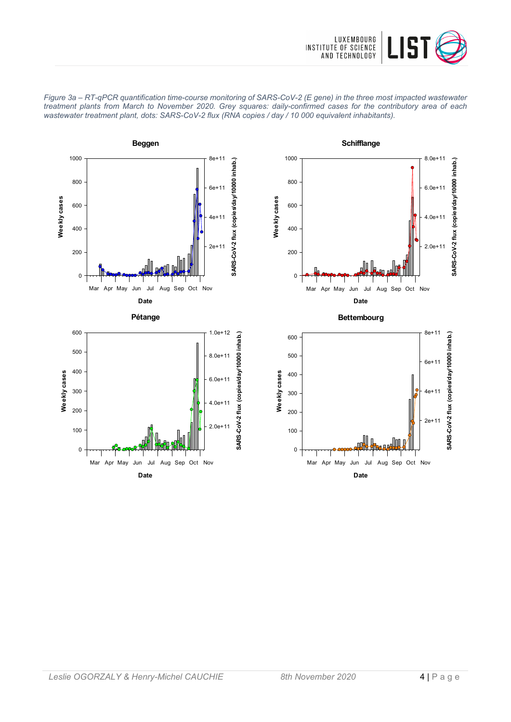



*Figure 3a – RT-qPCR quantification time-course monitoring of SARS-CoV-2 (E gene) in the three most impacted wastewater treatment plants from March to November 2020. Grey squares: daily-confirmed cases for the contributory area of each wastewater treatment plant, dots: SARS-CoV-2 flux (RNA copies / day / 10 000 equivalent inhabitants).*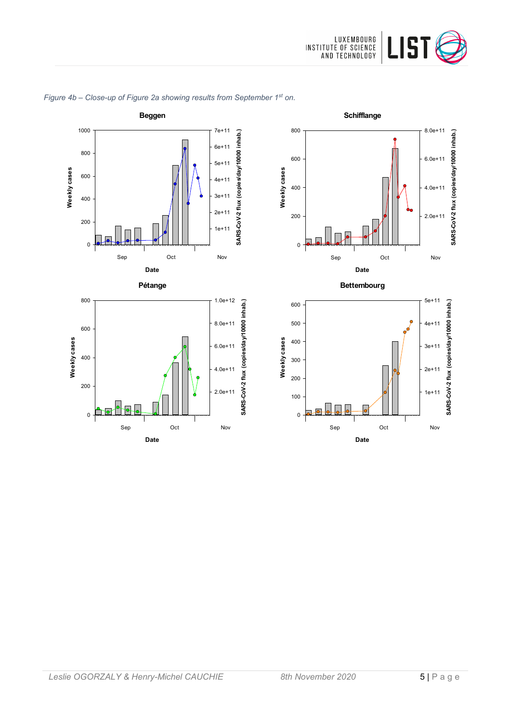



# *Figure 4b – Close-up of Figure 2a showing results from September 1st on.*



**Date**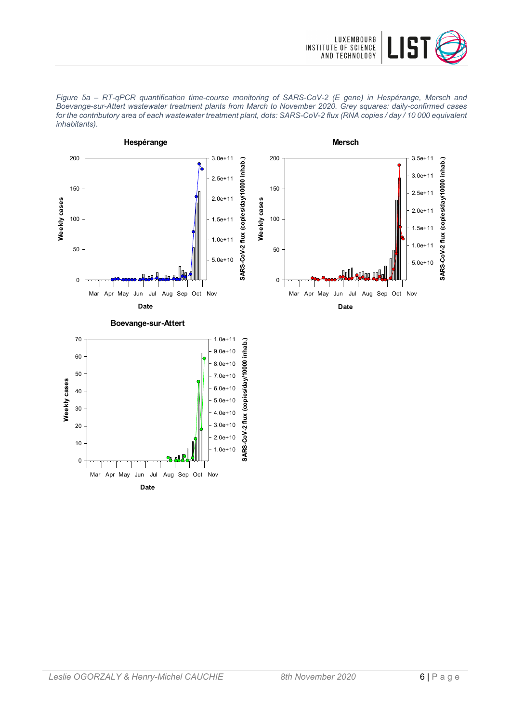

*Figure 5a – RT-qPCR quantification time-course monitoring of SARS-CoV-2 (E gene) in Hespérange, Mersch and Boevange-sur-Attert wastewater treatment plants from March to November 2020. Grey squares: daily-confirmed cases for the contributory area of each wastewater treatment plant, dots: SARS-CoV-2 flux (RNA copies / day / 10 000 equivalent inhabitants).*

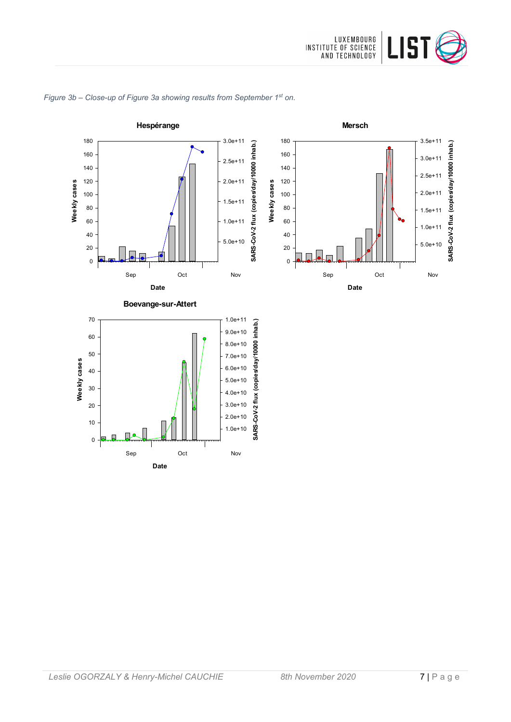



# *Figure 3b – Close-up of Figure 3a showing results from September 1st on.*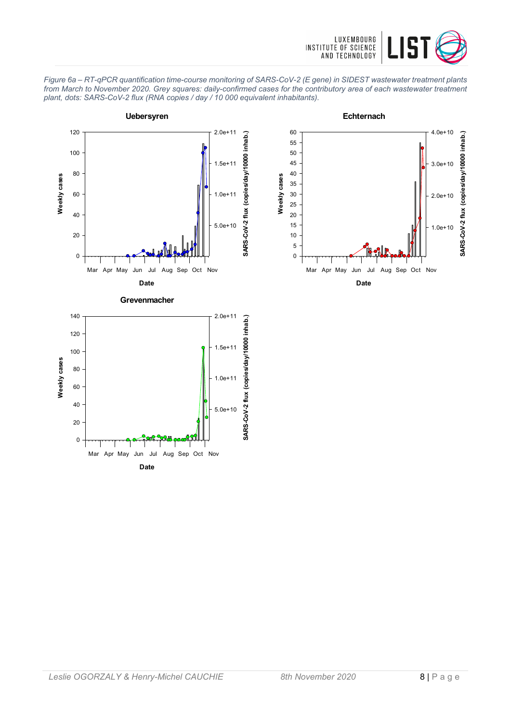

*Figure 6a – RT-qPCR quantification time-course monitoring of SARS-CoV-2 (E gene) in SIDEST wastewater treatment plants from March to November 2020. Grey squares: daily-confirmed cases for the contributory area of each wastewater treatment plant, dots: SARS-CoV-2 flux (RNA copies / day / 10 000 equivalent inhabitants).*

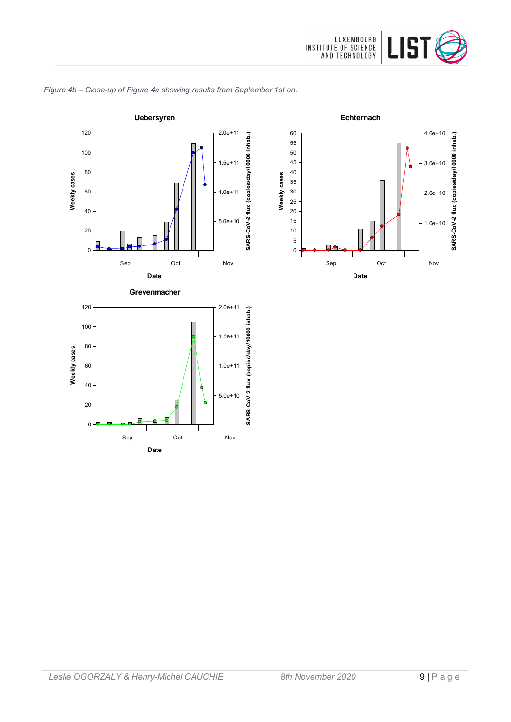





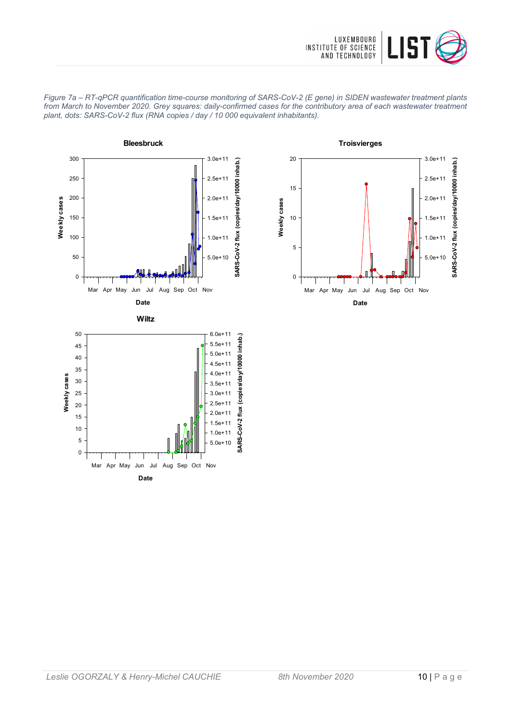





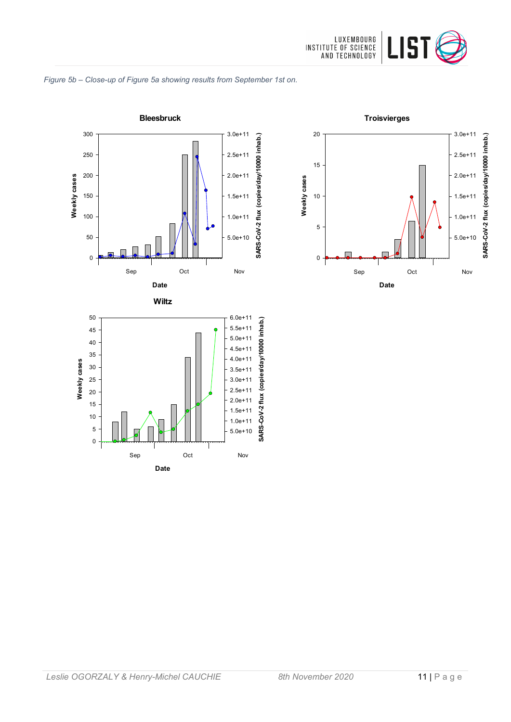

#### *Figure 5b – Close-up of Figure 5a showing results from September 1st on.*





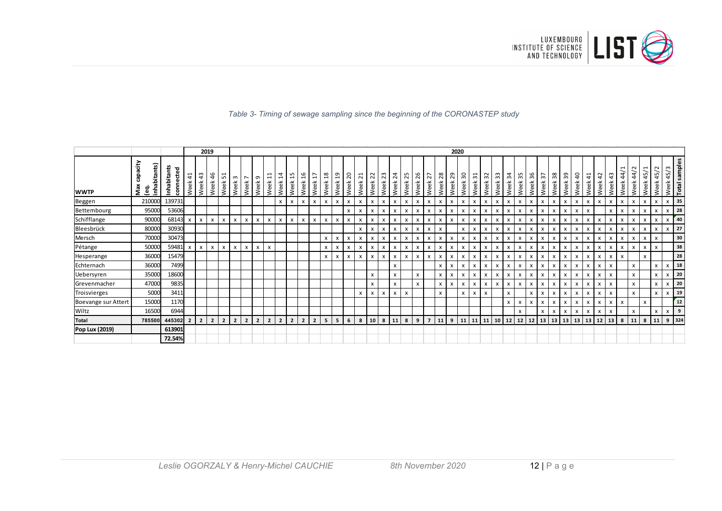

### *Table 3- Timing of sewage sampling since the beginning of the CORONASTEP study*

|                     |                                        |                       |                           |                           | 2019           |                                    |                |                           |                           |                                  |                             |                |                           |                |                        |                        |                           |                           |                           |                           |                           |                           |                           |                           |                         |            | 2020                            |                           |                           |              |                           |                           |                           |              |                           |                           |                        |            |                           |                           |                           |                           |                                         |                           |                           |                            |
|---------------------|----------------------------------------|-----------------------|---------------------------|---------------------------|----------------|------------------------------------|----------------|---------------------------|---------------------------|----------------------------------|-----------------------------|----------------|---------------------------|----------------|------------------------|------------------------|---------------------------|---------------------------|---------------------------|---------------------------|---------------------------|---------------------------|---------------------------|---------------------------|-------------------------|------------|---------------------------------|---------------------------|---------------------------|--------------|---------------------------|---------------------------|---------------------------|--------------|---------------------------|---------------------------|------------------------|------------|---------------------------|---------------------------|---------------------------|---------------------------|-----------------------------------------|---------------------------|---------------------------|----------------------------|
| <b>WWTP</b>         | capacity<br>inhabitants)<br>Max<br>စ္မ | Inhabitants<br>conner | Week 41                   | m<br>4<br>Week            | 46<br>Week     | $\mathbf{\mathbf{r}}$<br>L<br>Week | ന<br>Week      | $\overline{ }$<br>Week    | G<br>Week                 | $\overline{\phantom{0}}$<br>Week | 4<br>$\overline{ }$<br>Week | LO.<br>Week    | 16<br>Week                | 17<br>Week     | $\frac{8}{18}$<br>Week | $\overline{a}$<br>Week | 20<br>Week                | $\overline{z}$<br>Week    | 22<br>Week                | 23<br>Week                | 24<br>Week                | m<br>$\sim$<br>Week       | 26<br>Week.               | 27<br>Week                | 28<br>Week <sup>-</sup> | 29<br>Week | $\overline{\mathbf{5}}$<br>Week | $\overline{31}$<br>Week   | 32<br>Week                | 33<br>Week   | 34<br>Week                | 35<br>Week                | 36<br>Week                | 57<br>Week   | 38<br>Week                | 39<br>Week                | $\overline{a}$<br>Week | 41<br>Week | $\overline{4}$<br>Week    | $\frac{4}{3}$<br>Week     | 44/1<br>Week              | 44/2<br>Week              | $\overline{\phantom{0}}$<br>45/<br>Week | $\sim$<br>45/<br>Week     |                           | Week 45/3<br>Total samples |
| Beggen              | 210000                                 | 139731                |                           |                           |                |                                    |                |                           |                           |                                  | $\mathsf{x}$                | x              | $\boldsymbol{\mathsf{x}}$ | x              | $\pmb{\times}$         | $\mathsf{x}$           | $\boldsymbol{\mathsf{x}}$ | x                         | $\boldsymbol{\mathsf{x}}$ | $\pmb{\times}$            | $\boldsymbol{\mathsf{x}}$ | $\mathsf{x}$              | x                         | x                         | x                       | x          | x                               | x                         | $\pmb{\times}$            | x            | $\boldsymbol{\mathsf{x}}$ | x                         | $\boldsymbol{\mathsf{x}}$ | $\mathsf{x}$ | $\bullet$ X $\bullet$     | x                         | x                      | x          | x                         | X                         | x                         | x                         | x                                       | $\boldsymbol{\mathsf{x}}$ | $\pmb{\times}$            | 35                         |
| Bettembourg         | 95000                                  | 53606                 |                           |                           |                |                                    |                |                           |                           |                                  |                             |                |                           |                |                        |                        | X                         | $\boldsymbol{\mathsf{x}}$ |                           | X                         | $\mathsf{x}$              |                           | X                         | x                         | x                       | x          |                                 | x                         | $\boldsymbol{\mathsf{x}}$ |              | X                         | $\boldsymbol{\mathsf{x}}$ |                           | $\mathsf{x}$ | X                         |                           |                        |            |                           | X                         | $\boldsymbol{\mathsf{x}}$ | X                         |                                         |                           |                           | 28                         |
| Schifflange         | 90000                                  | 68143 x               |                           | $\mathsf{x}$              | $\mathsf{x}$   | $\mathsf{x}$                       | x              | $\mathsf{x}$              | X                         | $\boldsymbol{\mathsf{x}}$        | x                           | $\times$       | $\boldsymbol{\mathsf{x}}$ | x              | $\mathsf{x}$           | $\mathsf{x}$           | $\mathsf{x}$              | x                         | $\boldsymbol{\mathsf{x}}$ | $\mathsf{x}$              | $\mathsf{x}$              | X                         | $\boldsymbol{\mathsf{x}}$ | $\boldsymbol{\mathsf{x}}$ | x                       | x          | x                               | x                         | x                         | $\mathsf{x}$ | $\boldsymbol{\mathsf{x}}$ | $\boldsymbol{\mathsf{x}}$ | $\boldsymbol{\mathsf{x}}$ | $\mathsf{x}$ | $\times$                  | X                         | X                      | x          | X                         | X                         | x                         | x                         | $\mathsf{x}$                            | $\boldsymbol{\mathsf{x}}$ | $\boldsymbol{\mathsf{x}}$ | 40                         |
| Bleesbrück          | 80000                                  | 30930                 |                           |                           |                |                                    |                |                           |                           |                                  |                             |                |                           |                |                        |                        |                           | $\mathsf{x}$              | $\boldsymbol{\mathsf{x}}$ | $\times$                  | $\mathsf{x}$              | $\boldsymbol{\mathsf{x}}$ | $\boldsymbol{\mathsf{x}}$ | $\boldsymbol{\mathsf{x}}$ | $\times$                |            | $\boldsymbol{\mathsf{x}}$       | $\boldsymbol{\mathsf{x}}$ | X                         | $\mathsf{x}$ | $\boldsymbol{\mathsf{x}}$ | X                         | $\boldsymbol{\mathsf{x}}$ | $\mathsf{x}$ | $\mathsf{x}$              | X                         | X                      | x          | $\boldsymbol{\mathsf{x}}$ |                           | X                         | $\mathsf{x}$              | $\mathsf{x}$                            | $\boldsymbol{\mathsf{x}}$ | $\boldsymbol{\mathsf{x}}$ | 27                         |
| Mersch              | 70000                                  | 30473                 |                           |                           |                |                                    |                |                           |                           |                                  |                             |                |                           |                | $\times$               | $\mathsf{x}$           | $\boldsymbol{\mathsf{x}}$ | X                         | X                         | $\times$                  | x                         | X                         | $\mathsf{x}$              | $\boldsymbol{\mathsf{x}}$ | x                       | x          | x                               | х                         | X                         | $\times$     | $\boldsymbol{\mathsf{x}}$ | $\boldsymbol{\mathsf{x}}$ | $\boldsymbol{\mathsf{x}}$ | $\mathsf{x}$ | $\times$                  | x                         | X                      | x          | $\mathsf{x}$              | $\boldsymbol{\mathsf{x}}$ | x                         | $\mathsf{x}$              | $\mathsf{x}$                            | $\boldsymbol{\mathsf{x}}$ |                           | 30                         |
| Pétange             | 50000                                  | 59481                 | $\boldsymbol{\mathsf{x}}$ | $\boldsymbol{\mathsf{x}}$ | $\mathsf{x}$   | X                                  | x              | $\boldsymbol{\mathsf{x}}$ | $\boldsymbol{\mathsf{x}}$ | x                                |                             |                |                           |                | X                      | $\mathsf{x}$           | $\boldsymbol{\mathsf{x}}$ | x                         | X                         | $\times$                  | x                         | $\boldsymbol{\mathsf{x}}$ | $\mathsf{x}$              | x                         | x                       | x          | $\boldsymbol{\mathsf{x}}$       | x                         | x                         | x            | $\boldsymbol{\mathsf{x}}$ | X                         | $\boldsymbol{\mathsf{x}}$ | $\mathsf{x}$ | $\boldsymbol{\mathsf{x}}$ | X                         | X                      | x          | x                         |                           | X                         | $\mathsf{x}$              | $\mathsf{x}$                            | $\boldsymbol{\mathsf{x}}$ |                           | 38                         |
| Hesperange          | 36000                                  | 15479                 |                           |                           |                |                                    |                |                           |                           |                                  |                             |                |                           |                | $\mathsf{x}$           | $\mathsf{x}$           | $\boldsymbol{\mathsf{x}}$ | X                         | $\boldsymbol{\mathsf{x}}$ | $\boldsymbol{\mathsf{x}}$ | $\mathsf{x}$              | x                         | x                         | x                         | x                       | x          | $\boldsymbol{\mathsf{x}}$       | х                         | $\boldsymbol{\mathsf{x}}$ | $\mathsf{x}$ | $\boldsymbol{\mathsf{x}}$ | $\boldsymbol{\mathsf{x}}$ | $\boldsymbol{\mathsf{x}}$ | $\mathsf{x}$ | X                         | X                         | x                      | x          | X                         | $\boldsymbol{\mathsf{x}}$ | x                         |                           | x                                       |                           |                           | 28                         |
| Echternach          | 36000                                  | 7499                  |                           |                           |                |                                    |                |                           |                           |                                  |                             |                |                           |                |                        |                        |                           |                           |                           |                           | $\mathsf{x}$              |                           |                           |                           | x                       | x          | $\boldsymbol{\mathsf{x}}$       | $\mathsf{x}$              | $\boldsymbol{\mathsf{x}}$ | $\mathsf{x}$ | $\boldsymbol{\mathsf{x}}$ | x                         | $\boldsymbol{\mathsf{x}}$ | x            | $\times$                  | X                         | X                      | x          | $\boldsymbol{\mathsf{x}}$ | $\boldsymbol{\mathsf{x}}$ |                           | $\mathsf{x}$              |                                         | $\pmb{\times}$            | x                         | ${\bf 18}$                 |
| Uebersyren          | 35000                                  | 18600                 |                           |                           |                |                                    |                |                           |                           |                                  |                             |                |                           |                |                        |                        |                           |                           | x                         |                           | $\mathsf{x}$              |                           | x                         |                           | X                       | X          | $\boldsymbol{\mathsf{x}}$       | X                         | X                         | x            | X                         | X                         | $\boldsymbol{\mathsf{x}}$ | $\mathsf{x}$ | X                         | X                         | x                      | x          | x                         | X                         |                           | $\mathsf{x}$              |                                         | x                         | x                         | 20                         |
| Grevenmacher        | 47000                                  | 9835                  |                           |                           |                |                                    |                |                           |                           |                                  |                             |                |                           |                |                        |                        |                           |                           | X                         |                           | X                         |                           | x                         |                           | $\mathsf{x}$            | X          | x                               | $\boldsymbol{\mathsf{x}}$ | $\boldsymbol{\mathsf{x}}$ | x            | $\boldsymbol{\mathsf{x}}$ | $\boldsymbol{\mathsf{x}}$ | $\boldsymbol{\mathsf{x}}$ | x            | $\boldsymbol{\mathsf{x}}$ | $\boldsymbol{\mathsf{x}}$ |                        | X          | x                         | X                         |                           | $\boldsymbol{\mathsf{x}}$ |                                         | x                         | $\pmb{\times}$            | 20                         |
| Troisvierges        | 5000                                   | 3411                  |                           |                           |                |                                    |                |                           |                           |                                  |                             |                |                           |                |                        |                        |                           | x                         | X                         | $\boldsymbol{\mathsf{x}}$ | $\mathsf{x}$              | $\boldsymbol{\mathsf{x}}$ |                           |                           | X                       |            | $\boldsymbol{\mathsf{x}}$       | $\boldsymbol{\mathsf{x}}$ | X                         |              | X                         |                           | X                         | $\mathsf{x}$ | X                         | X                         | X                      | x          | $\boldsymbol{\mathsf{x}}$ | X                         |                           | $\mathsf{x}$              |                                         | $\boldsymbol{\mathsf{x}}$ | $\boldsymbol{\mathsf{x}}$ | 19                         |
| Boevange sur Attert | 15000                                  | 1170                  |                           |                           |                |                                    |                |                           |                           |                                  |                             |                |                           |                |                        |                        |                           |                           |                           |                           |                           |                           |                           |                           |                         |            |                                 |                           |                           |              | $\mathsf{x}$              | X                         | $\boldsymbol{\mathsf{x}}$ | $\mathsf{x}$ | $\mathsf{x}$              | x                         | X                      | x          | $\mathsf{x}$              | X                         | x                         |                           | $\mathsf{x}$                            |                           |                           | <sup>12</sup>              |
| Wiltz               | 16500                                  | 6944                  |                           |                           |                |                                    |                |                           |                           |                                  |                             |                |                           |                |                        |                        |                           |                           |                           |                           |                           |                           |                           |                           |                         |            |                                 |                           |                           |              |                           | $\boldsymbol{\mathsf{x}}$ |                           | x            | $\boldsymbol{\mathsf{x}}$ |                           | X                      | X          | x                         |                           |                           | $\boldsymbol{\mathsf{x}}$ |                                         | $\boldsymbol{\mathsf{x}}$ |                           | 9                          |
| <b>Total</b>        | 785500                                 | 445302 2              |                           | $\overline{2}$            | $\overline{2}$ | $\overline{2}$                     | $\overline{2}$ | $\overline{2}$            | $\overline{2}$            | $\overline{2}$                   | $\overline{2}$              | $\overline{2}$ | $\overline{2}$            | $\overline{2}$ | 5                      | 5                      | 6                         | 8                         | 10                        | 8                         | 11                        | 8                         | 9                         | $\overline{ }$            | 11                      | 9          | 11                              | 11                        | 11                        | 10           | 12                        | 12                        | 12                        |              | $13$ 13 13                |                           | 13                     | 13         | 12                        | 13                        | 8                         | 11                        | 8                                       | 11                        |                           | 9 324                      |
| Pop Lux (2019)      |                                        | 613901                |                           |                           |                |                                    |                |                           |                           |                                  |                             |                |                           |                |                        |                        |                           |                           |                           |                           |                           |                           |                           |                           |                         |            |                                 |                           |                           |              |                           |                           |                           |              |                           |                           |                        |            |                           |                           |                           |                           |                                         |                           |                           |                            |
|                     |                                        | 72.54%                |                           |                           |                |                                    |                |                           |                           |                                  |                             |                |                           |                |                        |                        |                           |                           |                           |                           |                           |                           |                           |                           |                         |            |                                 |                           |                           |              |                           |                           |                           |              |                           |                           |                        |            |                           |                           |                           |                           |                                         |                           |                           |                            |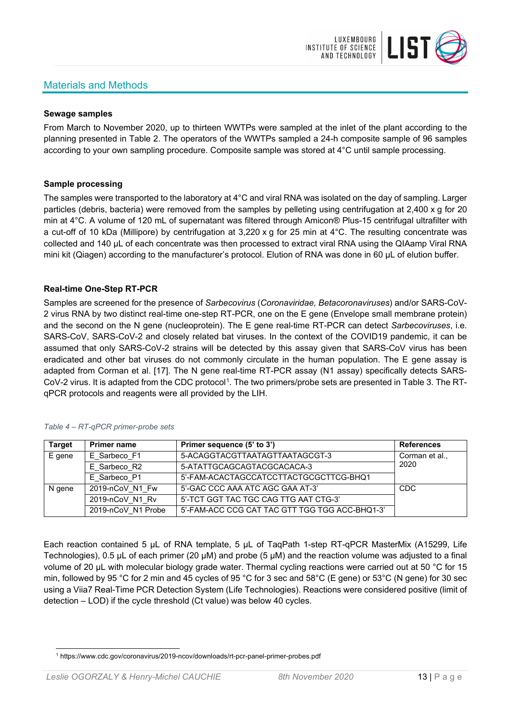# Materials and Methods



# **Sewage samples**

From March to November 2020, up to thirteen WWTPs were sampled at the inlet of the plant according to the planning presented in Table 2. The operators of the WWTPs sampled a 24-h composite sample of 96 samples according to your own sampling procedure. Composite sample was stored at 4°C until sample processing.

### **Sample processing**

The samples were transported to the laboratory at 4°C and viral RNA was isolated on the day of sampling. Larger particles (debris, bacteria) were removed from the samples by pelleting using centrifugation at 2,400 x g for 20 min at 4°C. A volume of 120 mL of supernatant was filtered through Amicon® Plus-15 centrifugal ultrafilter with a cut-off of 10 kDa (Millipore) by centrifugation at 3,220 x g for 25 min at 4°C. The resulting concentrate was collected and 140 µL of each concentrate was then processed to extract viral RNA using the QIAamp Viral RNA mini kit (Qiagen) according to the manufacturer's protocol. Elution of RNA was done in 60 μL of elution buffer.

### **Real-time One-Step RT-PCR**

Samples are screened for the presence of *Sarbecovirus* (*Coronaviridae, Betacoronaviruses*) and/or SARS-CoV-2 virus RNA by two distinct real-time one-step RT-PCR, one on the E gene (Envelope small membrane protein) and the second on the N gene (nucleoprotein). The E gene real-time RT-PCR can detect *Sarbecoviruses*, i.e. SARS-CoV, SARS-CoV-2 and closely related bat viruses. In the context of the COVID19 pandemic, it can be assumed that only SARS-CoV-2 strains will be detected by this assay given that SARS-CoV virus has been eradicated and other bat viruses do not commonly circulate in the human population. The E gene assay is adapted from Corman et al. [17]. The N gene real-time RT-PCR assay (N1 assay) specifically detects SARS-CoV-2 virus. It is adapted from the CDC protocol[1](#page-12-0). The two primers/probe sets are presented in Table 3. The RTqPCR protocols and reagents were all provided by the LIH.

| <b>Target</b> | <b>Primer name</b> | Primer sequence (5' to 3')                     | <b>References</b> |
|---------------|--------------------|------------------------------------------------|-------------------|
| E gene        | E Sarbeco F1       | 5-ACAGGTACGTTAATAGTTAATAGCGT-3                 | Corman et al.,    |
|               | E Sarbeco R2       | 5-ATATTGCAGCAGTACGCACACA-3                     | 2020              |
|               | E Sarbeco P1       | 5'-FAM-ACACTAGCCATCCTTACTGCGCTTCG-BHQ1         |                   |
| N gene        | 2019-nCoV N1 Fw    | 5'-GAC CCC AAA ATC AGC GAA AT-3'               | <b>CDC</b>        |
|               | 2019-nCoV N1 Rv    | 5'-TCT GGT TAC TGC CAG TTG AAT CTG-3'          |                   |
|               | 2019-nCoV N1 Probe | 5'-FAM-ACC CCG CAT TAC GTT TGG TGG ACC-BHQ1-3' |                   |

#### *Table 4 – RT-qPCR primer-probe sets*

Each reaction contained 5 μL of RNA template, 5 μL of TaqPath 1-step RT-qPCR MasterMix (A15299, Life Technologies), 0.5 µL of each primer (20 µM) and probe (5 µM) and the reaction volume was adjusted to a final volume of 20 μL with molecular biology grade water. Thermal cycling reactions were carried out at 50 °C for 15 min, followed by 95 °C for 2 min and 45 cycles of 95 °C for 3 sec and 58°C (E gene) or 53°C (N gene) for 30 sec using a Viia7 Real-Time PCR Detection System (Life Technologies). Reactions were considered positive (limit of detection – LOD) if the cycle threshold (Ct value) was below 40 cycles.

<span id="page-12-0"></span><sup>1</sup> https://www.cdc.gov/coronavirus/2019-ncov/downloads/rt-pcr-panel-primer-probes.pdf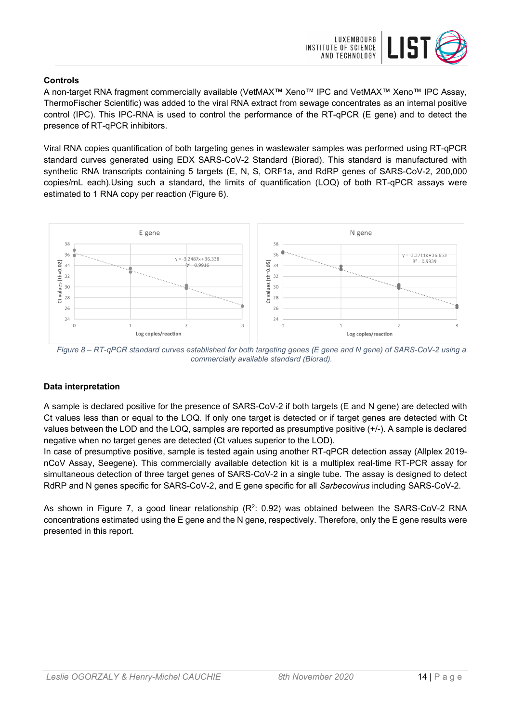

# **Controls**

A non-target RNA fragment commercially available (VetMAX™ Xeno™ IPC and VetMAX™ Xeno™ IPC Assay, ThermoFischer Scientific) was added to the viral RNA extract from sewage concentrates as an internal positive control (IPC). This IPC-RNA is used to control the performance of the RT-qPCR (E gene) and to detect the presence of RT-qPCR inhibitors.

Viral RNA copies quantification of both targeting genes in wastewater samples was performed using RT-qPCR standard curves generated using EDX SARS-CoV-2 Standard (Biorad). This standard is manufactured with synthetic RNA transcripts containing 5 targets (E, N, S, ORF1a, and RdRP genes of SARS-CoV-2, 200,000 copies/mL each).Using such a standard, the limits of quantification (LOQ) of both RT-qPCR assays were estimated to 1 RNA copy per reaction (Figure 6).



*Figure 8 – RT-qPCR standard curves established for both targeting genes (E gene and N gene) of SARS-CoV-2 using a commercially available standard (Biorad).*

# **Data interpretation**

A sample is declared positive for the presence of SARS-CoV-2 if both targets (E and N gene) are detected with Ct values less than or equal to the LOQ. If only one target is detected or if target genes are detected with Ct values between the LOD and the LOQ, samples are reported as presumptive positive (+/-). A sample is declared negative when no target genes are detected (Ct values superior to the LOD).

In case of presumptive positive, sample is tested again using another RT-qPCR detection assay (Allplex 2019 nCoV Assay, Seegene). This commercially available detection kit is a multiplex real-time RT-PCR assay for simultaneous detection of three target genes of SARS-CoV-2 in a single tube. The assay is designed to detect RdRP and N genes specific for SARS-CoV-2, and E gene specific for all *Sarbecovirus* including SARS-CoV-2.

As shown in Figure 7, a good linear relationship  $(R^2: 0.92)$  was obtained between the SARS-CoV-2 RNA concentrations estimated using the E gene and the N gene, respectively. Therefore, only the E gene results were presented in this report.